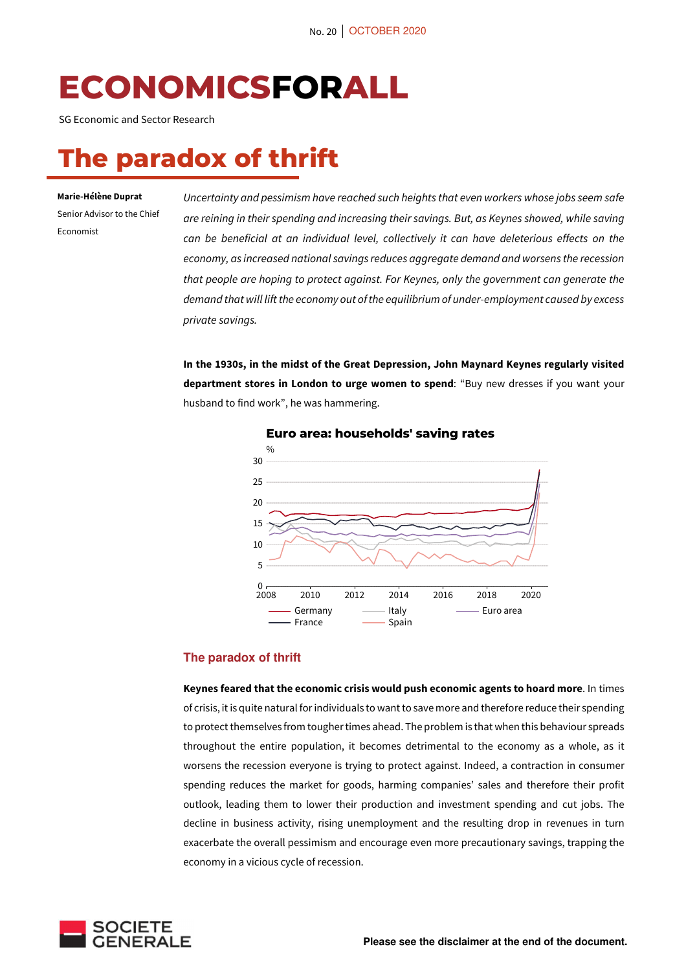# **ECONOMICSFORALL**

SG Economic and Sector Research

## **The paradox of thrift**

#### **Marie-Hélène Duprat**

Senior Advisor to the Chief Economist

*Uncertainty and pessimism have reached such heights that even workers whose jobs seem safe are reining in their spending and increasing their savings. But, as Keynes showed, while saving can be beneficial at an individual level, collectively it can have deleterious effects on the economy, as increased national savings reduces aggregate demand and worsens the recession that people are hoping to protect against. For Keynes, only the government can generate the demand that will lift the economy out of the equilibrium of under-employment caused by excess private savings.* 

**In the 1930s, in the midst of the Great Depression, John Maynard Keynes regularly visited department stores in London to urge women to spend**: "Buy new dresses if you want your husband to find work", he was hammering.



#### **Euro area: households' saving rates**

#### **The paradox of thrift**

**Keynes feared that the economic crisis would push economic agents to hoard more**. In times of crisis, it is quite natural for individuals to want to save more and therefore reduce their spending to protect themselves from tougher times ahead. The problem is that when this behaviour spreads throughout the entire population, it becomes detrimental to the economy as a whole, as it worsens the recession everyone is trying to protect against. Indeed, a contraction in consumer spending reduces the market for goods, harming companies' sales and therefore their profit outlook, leading them to lower their production and investment spending and cut jobs. The decline in business activity, rising unemployment and the resulting drop in revenues in turn exacerbate the overall pessimism and encourage even more precautionary savings, trapping the economy in a vicious cycle of recession.

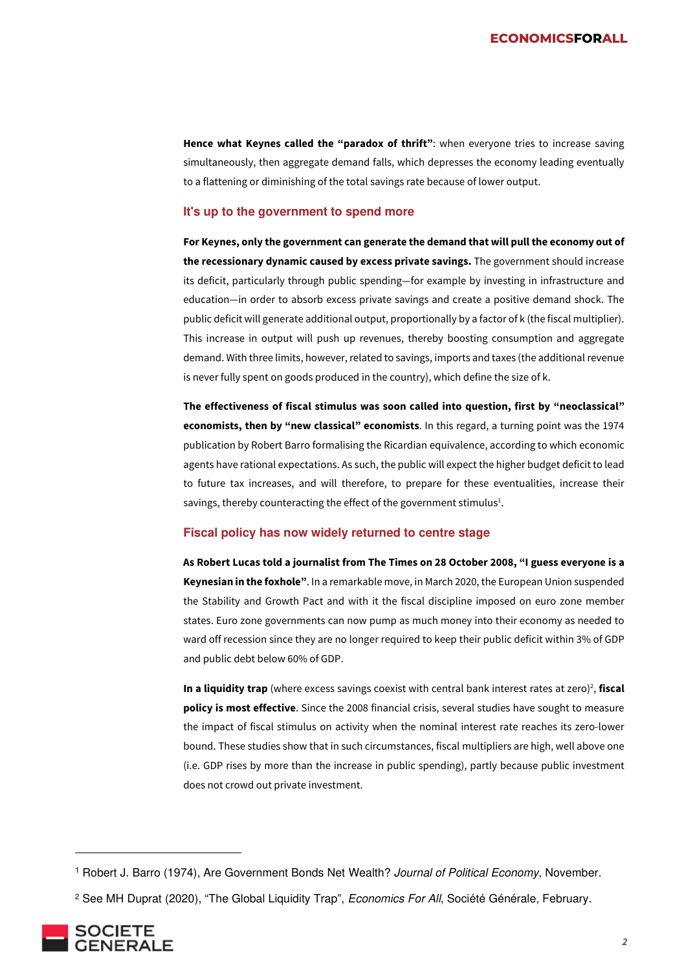**Hence what Keynes called the "paradox of thrift"**: when everyone tries to increase saving simultaneously, then aggregate demand falls, which depresses the economy leading eventually to a flattening or diminishing of the total savings rate because of lower output.

#### **It's up to the government to spend more**

**For Keynes, only the government can generate the demand that will pull the economy out of the recessionary dynamic caused by excess private savings.** The government should increase its deficit, particularly through public spending—for example by investing in infrastructure and education—in order to absorb excess private savings and create a positive demand shock. The public deficit will generate additional output, proportionally by a factor of k (the fiscal multiplier). This increase in output will push up revenues, thereby boosting consumption and aggregate demand. With three limits, however, related to savings, imports and taxes (the additional revenue is never fully spent on goods produced in the country), which define the size of k.

**The effectiveness of fiscal stimulus was soon called into question, first by "neoclassical" economists, then by "new classical" economists**. In this regard, a turning point was the 1974 publication by Robert Barro formalising the Ricardian equivalence, according to which economic agents have rational expectations. As such, the public will expect the higher budget deficit to lead to future tax increases, and will therefore, to prepare for these eventualities, increase their savings, thereby counteracting the effect of the government stimulus $^{1}$ .

#### **Fiscal policy has now widely returned to centre stage**

**As Robert Lucas told a journalist from The Times on 28 October 2008, "I guess everyone is a Keynesian in the foxhole"**. In a remarkable move, in March 2020, the European Union suspended the Stability and Growth Pact and with it the fiscal discipline imposed on euro zone member states. Euro zone governments can now pump as much money into their economy as needed to ward off recession since they are no longer required to keep their public deficit within 3% of GDP and public debt below 60% of GDP.

In a liquidity trap (where excess savings coexist with central bank interest rates at zero)<sup>2</sup>, fiscal **policy is most effective**. Since the 2008 financial crisis, several studies have sought to measure the impact of fiscal stimulus on activity when the nominal interest rate reaches its zero-lower bound. These studies show that in such circumstances, fiscal multipliers are high, well above one (i.e. GDP rises by more than the increase in public spending), partly because public investment does not crowd out private investment.

<sup>&</sup>lt;sup>2</sup> See MH Duprat (2020), "The Global Liquidity Trap", *Economics For All*, Société Générale, February.



<sup>&</sup>lt;sup>1</sup> Robert J. Barro (1974), Are Government Bonds Net Wealth? Journal of Political Economy, November.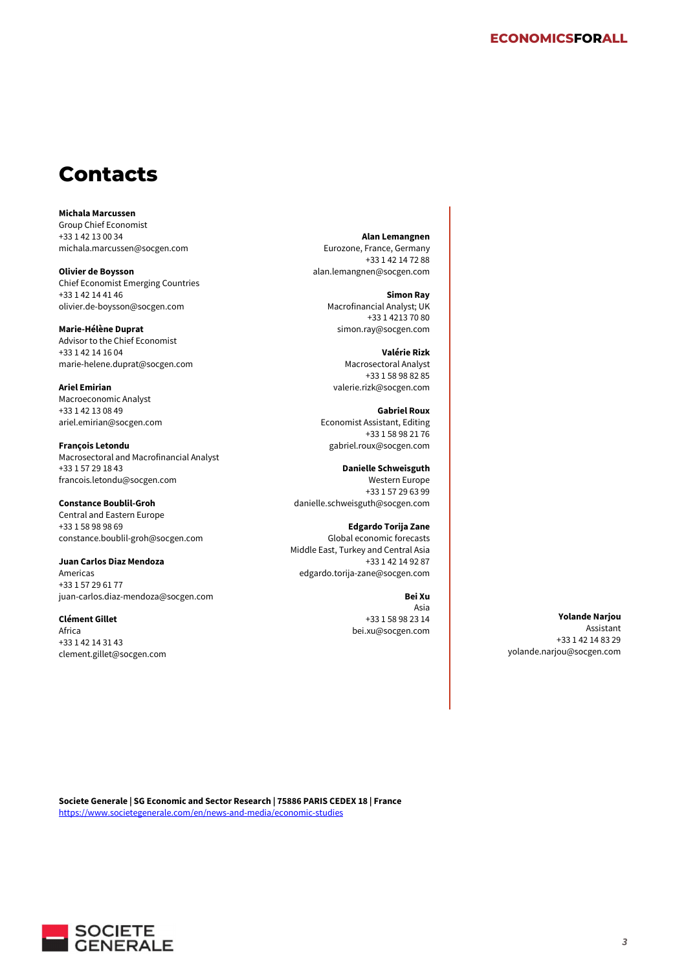### **Contacts**

**Michala Marcussen**  Group Chief Economist +33 1 42 13 00 34 michala.marcussen@socgen.com

**Olivier de Boysson**  Chief Economist Emerging Countries +33 1 42 14 41 46 olivier.de-boysson@socgen.com

**Marie-Hélène Duprat**  Advisor to the Chief Economist +33 1 42 14 16 04 marie-helene.duprat@socgen.com

**Ariel Emirian**  Macroeconomic Analyst +33 1 42 13 08 49 ariel.emirian@socgen.com

**François Letondu**  Macrosectoral and Macrofinancial Analyst +33 1 57 29 18 43 francois.letondu@socgen.com

**Constance Boublil-Groh**  Central and Eastern Europe +33 1 58 98 98 69 constance.boublil-groh@socgen.com

**Juan Carlos Diaz Mendoza**  Americas +33 1 57 29 61 77 juan-carlos.diaz-mendoza@socgen.com

**Clément Gillet**  Africa +33 1 42 14 31 43 clement.gillet@socgen.com

**Alan Lemangnen**  Eurozone, France, Germany +33 1 42 14 72 88 alan.lemangnen@socgen.com

> **Simon Ray**  Macrofinancial Analyst; UK +33 1 4213 70 80 simon.ray@socgen.com

**Valérie Rizk**  Macrosectoral Analyst +33 1 58 98 82 85 valerie.rizk@socgen.com

**Gabriel Roux**  Economist Assistant, Editing +33 1 58 98 21 76 gabriel.roux@socgen.com

**Danielle Schweisguth**  Western Europe +33 1 57 29 63 99 danielle.schweisguth@socgen.com

**Edgardo Torija Zane**  Global economic forecasts Middle East, Turkey and Central Asia +33 1 42 14 92 87 edgardo.torija-zane@socgen.com

**Bei Xu** 

Asia +33 1 58 98 23 14 bei.xu@socgen.com

**Yolande Narjou**  Assistant +33 1 42 14 83 29 yolande.narjou@socgen.com

**Societe Generale | SG Economic and Sector Research | 75886 PARIS CEDEX 18 | France**  https://www.societegenerale.com/en/news-and-media/economic-studies